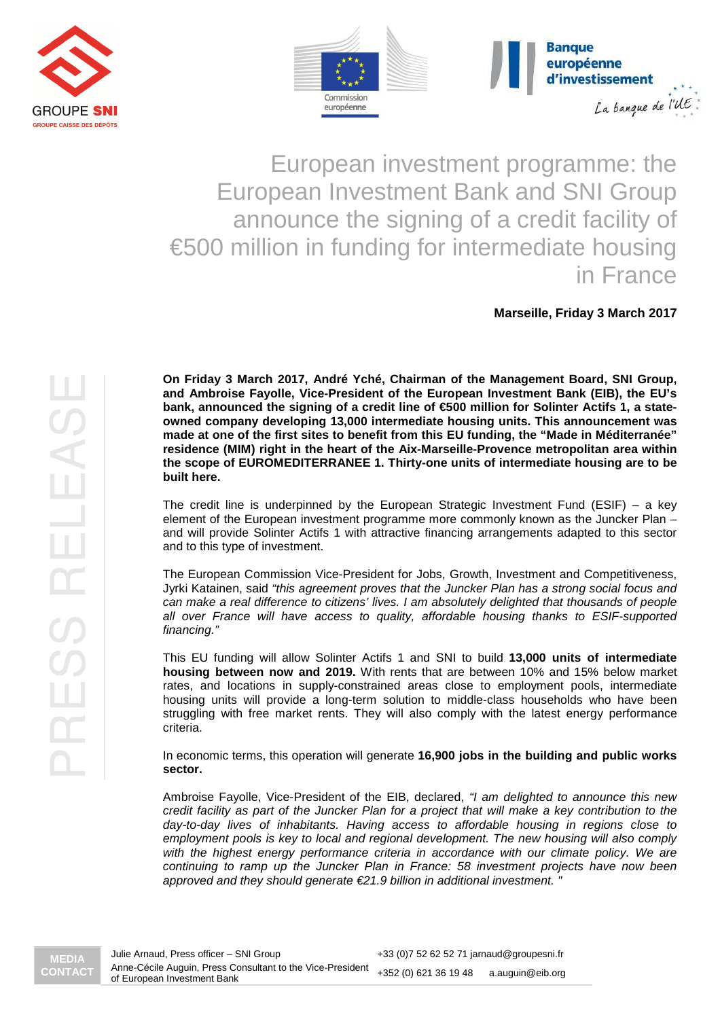



European investment programme: the European Investment Bank and SNI Group announce the signing of a credit facility of €500 million in funding for intermediate housing in France

**Marseille, Friday 3 March 2017**

**On Friday 3 March 2017, André Yché, Chairman of the Management Board, SNI Group, and Ambroise Fayolle, Vice-President of the European Investment Bank (EIB), the EU's bank, announced the signing of a credit line of €500 million for Solinter Actifs 1, a stateowned company developing 13,000 intermediate housing units. This announcement was made at one of the first sites to benefit from this EU funding, the "Made in Méditerranée" residence (MIM) right in the heart of the Aix-Marseille-Provence metropolitan area within the scope of EUROMEDITERRANEE 1. Thirty-one units of intermediate housing are to be built here.** 

The credit line is underpinned by the European Strategic Investment Fund (ESIF) – a key element of the European investment programme more commonly known as the Juncker Plan – and will provide Solinter Actifs 1 with attractive financing arrangements adapted to this sector and to this type of investment.

The European Commission Vice-President for Jobs, Growth, Investment and Competitiveness, Jyrki Katainen, said "this agreement proves that the Juncker Plan has a strong social focus and can make a real difference to citizens' lives. I am absolutely delighted that thousands of people all over France will have access to quality, affordable housing thanks to ESIF-supported financing."

This EU funding will allow Solinter Actifs 1 and SNI to build **13,000 units of intermediate housing between now and 2019.** With rents that are between 10% and 15% below market rates, and locations in supply-constrained areas close to employment pools, intermediate housing units will provide a long-term solution to middle-class households who have been struggling with free market rents. They will also comply with the latest energy performance criteria.

In economic terms, this operation will generate **16,900 jobs in the building and public works sector.** 

Ambroise Fayolle, Vice-President of the EIB, declared, "I am delighted to announce this new credit facility as part of the Juncker Plan for a project that will make a key contribution to the day-to-day lives of inhabitants. Having access to affordable housing in regions close to employment pools is key to local and regional development. The new housing will also comply with the highest energy performance criteria in accordance with our climate policy. We are continuing to ramp up the Juncker Plan in France: 58 investment projects have now been approved and they should generate €21.9 billion in additional investment. "